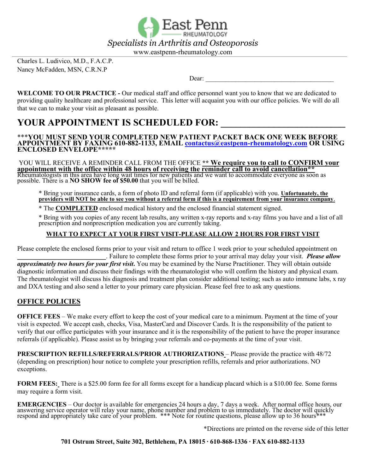

www.eastpenn-rheumatology.com

Charles L. Ludivico, M.D., F.A.C.P. Nancy McFadden, MSN, C.R.N.P

Dear:

**WELCOME TO OUR PRACTICE -** Our medical staff and office personnel want you to know that we are dedicated to providing quality healthcare and professional service. This letter will acquaint you with our office policies. We will do all that we can to make your visit as pleasant as possible.

# YOUR APPOINTMENT IS SCHEDULED FOR:

\*\*\***YOU MUST SEND YOUR COMPLETED NEW PATIENT PACKET BACK ONE WEEK BEFORE APPOINTMENT BY FAXING 610-882-1133, EMAIL contactus@eastpenn-rheumatology.com OR USING ENCLOSED ENVELOPE\*\*\*\*\***

YOU WILL RECEIVE A REMINDER CALL FROM THE OFFICE **\*\* We require you to call to CONFIRM your** appointment with the office within 48 hours of receiving the reminder call to avoid cancellation\*\* Rheumatologists in this area have long wait times for new patients and we want to accommodate everyone as soon as possible. There is a **NO SHOW fee of \$50.00** that you will be billed.

\* Bring your insurance cards, a form of photo ID and referral form (if applicable) with you. **Unfortunately, the providers will NOT be able to see you without a referral form if this is a requirement from your insurance company**.

\* The **COMPLETED** enclosed medical history and the enclosed financial statement signed.

\* Bring with you copies of any recent lab results, any written x-ray reports and x-ray films you have and a list of all prescription and nonprescription medication you are currently taking.

#### **WHAT TO EXPECT AT YOUR FIRST VISIT-PLEASE ALLOW 2 HOURS FOR FIRST VISIT**

Please complete the enclosed forms prior to your visit and return to office 1 week prior to your scheduled appointment on \_\_\_\_\_\_\_\_\_\_\_\_\_\_\_\_\_\_\_\_\_\_\_\_\_\_\_. Failure to complete these forms prior to your arrival may delay your visit. *Please allow* 

*approximately two hours for your first visit***.** You may be examined by the Nurse Practitioner. They will obtain outside diagnostic information and discuss their findings with the rheumatologist who will confirm the history and physical exam. The rheumatologist will discuss his diagnosis and treatment plan consider additional testing; such as auto immune labs, x ray and DXA testing and also send a letter to your primary care physician. Please feel free to ask any questions.

#### **OFFICE POLICIES**

**OFFICE FEES** – We make every effort to keep the cost of your medical care to a minimum. Payment at the time of your visit is expected. We accept cash, checks, Visa, MasterCard and Discover Cards. It is the responsibility of the patient to verify that our office participates with your insurance and it is the responsibility of the patient to have the proper insurance referrals (if applicable). Please assist us by bringing your referrals and co-payments at the time of your visit.

**PRESCRIPTION REFILLS/REFERRALS/PRIOR AUTHORIZATIONS** – Please provide the practice with 48/72 (depending on prescription) hour notice to complete your prescription refills, referrals and prior authorizations. NO exceptions.

**FORM FEES:** There is a \$25.00 form fee for all forms except for a handicap placard which is a \$10.00 fee. Some forms may require a form visit.

**EMERGENCIES** – Our doctor is available for emergencies 24 hours a day, 7 days a week. After normal office hours, our answering service operator will relay your name, phone number and problem to us immediately. The doctor respond and appropriately take care of your problem. \*\*\* Note for routine questions, please allow up to 36 hours\*\*\*

\*Directions are printed on the reverse side of this letter

**701 Ostrum Street, Suite 302, Bethlehem, PA 18015 ∙ 610-868-1336 ∙ FAX 610-882-1133**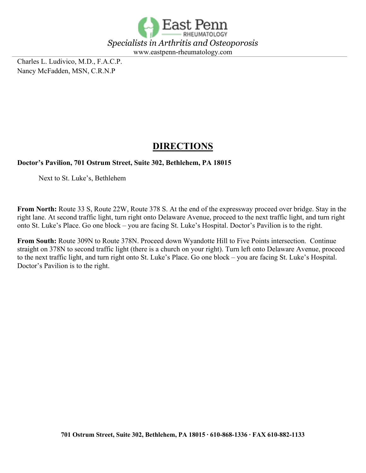

Charles L. Ludivico, M.D., F.A.C.P. Nancy McFadden, MSN, C.R.N.P

# **DIRECTIONS**

#### **Doctor's Pavilion, 701 Ostrum Street, Suite 302, Bethlehem, PA 18015**

Next to St. Luke's, Bethlehem

**From North:** Route 33 S, Route 22W, Route 378 S. At the end of the expressway proceed over bridge. Stay in the right lane. At second traffic light, turn right onto Delaware Avenue, proceed to the next traffic light, and turn right onto St. Luke's Place. Go one block – you are facing St. Luke's Hospital. Doctor's Pavilion is to the right.

**From South:** Route 309N to Route 378N. Proceed down Wyandotte Hill to Five Points intersection. Continue straight on 378N to second traffic light (there is a church on your right). Turn left onto Delaware Avenue, proceed to the next traffic light, and turn right onto St. Luke's Place. Go one block – you are facing St. Luke's Hospital. Doctor's Pavilion is to the right.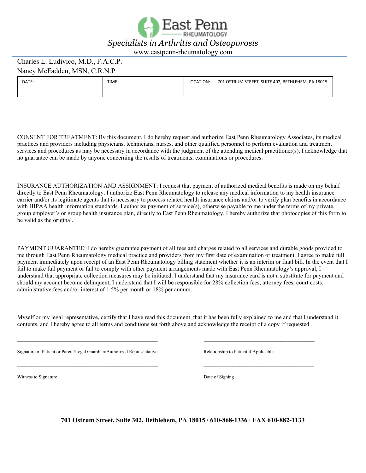

#### Charles L. Ludivico, M.D., F.A.C.P. Nancy McFadden, MSN, C.R.N.P

| DATE: | TIME: | LOCATION: | 701 OSTRUM STREET, SUITE 402, BETHLEHEM, PA 18015 |
|-------|-------|-----------|---------------------------------------------------|
|       |       |           |                                                   |

CONSENT FOR TREATMENT: By this document, I do hereby request and authorize East Penn Rheumatology Associates, its medical practices and providers including physicians, technicians, nurses, and other qualified personnel to perform evaluation and treatment services and procedures as may be necessary in accordance with the judgment of the attending medical practitioner(s). I acknowledge that no guarantee can be made by anyone concerning the results of treatments, examinations or procedures.

INSURANCE AUTHORIZATION AND ASSIGNMENT: I request that payment of authorized medical benefits is made on my behalf directly to East Penn Rheumatology. I authorize East Penn Rheumatology to release any medical information to my health insurance carrier and/or its legitimate agents that is necessary to process related health insurance claims and/or to verify plan benefits in accordance with HIPAA health information standards. I authorize payment of service(s), otherwise payable to me under the terms of my private, group employer's or group health insurance plan, directly to East Penn Rheumatology. I hereby authorize that photocopies of this form to be valid as the original.

PAYMENT GUARANTEE: I do hereby guarantee payment of all fees and charges related to all services and durable goods provided to me through East Penn Rheumatology medical practice and providers from my first date of examination or treatment. I agree to make full payment immediately upon receipt of an East Penn Rheumatology billing statement whether it is an interim or final bill. In the event that I fail to make full payment or fail to comply with other payment arrangements made with East Penn Rheumatology's approval, I understand that appropriate collection measures may be initiated. I understand that my insurance card is not a substitute for payment and should my account become delinquent, I understand that I will be responsible for 28% collection fees, attorney fees, court costs, administrative fees and/or interest of 1.5% per month or 18% per annum.

Myself or my legal representative, certify that I have read this document, that it has been fully explained to me and that I understand it contents, and I hereby agree to all terms and conditions set forth above and acknowledge the receipt of a copy if requested.

 $\mathcal{L}_\mathcal{L} = \{ \mathcal{L}_\mathcal{L} = \{ \mathcal{L}_\mathcal{L} = \{ \mathcal{L}_\mathcal{L} = \{ \mathcal{L}_\mathcal{L} = \{ \mathcal{L}_\mathcal{L} = \{ \mathcal{L}_\mathcal{L} = \{ \mathcal{L}_\mathcal{L} = \{ \mathcal{L}_\mathcal{L} = \{ \mathcal{L}_\mathcal{L} = \{ \mathcal{L}_\mathcal{L} = \{ \mathcal{L}_\mathcal{L} = \{ \mathcal{L}_\mathcal{L} = \{ \mathcal{L}_\mathcal{L} = \{ \mathcal{L}_\mathcal{$ 

\_\_\_\_\_\_\_\_\_\_\_\_\_\_\_\_\_\_\_\_\_\_\_\_\_\_\_\_\_\_\_\_\_\_\_\_\_\_\_\_\_\_\_\_\_\_\_\_\_\_\_\_\_\_\_\_\_\_\_ \_\_\_\_\_\_\_\_\_\_\_\_\_\_\_\_\_\_\_\_\_\_\_\_\_\_\_\_\_\_\_\_\_\_\_\_\_\_\_\_\_\_\_\_\_\_

Signature of Patient or Parent/Legal Guardian/Authorized Representative Relationship to Patient if Applicable

Witness to Signature Date of Signing

**701 Ostrum Street, Suite 302, Bethlehem, PA 18015 ∙ 610-868-1336 ∙ FAX 610-882-1133**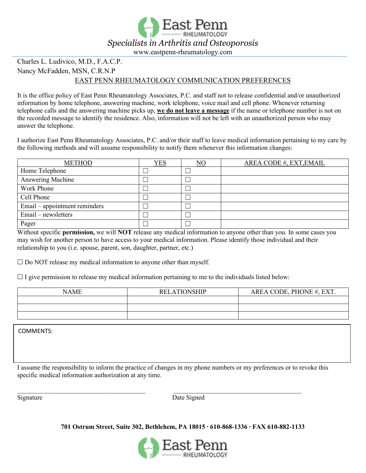

### Charles L. Ludivico, M.D., F.A.C.P. Nancy McFadden, MSN, C.R.N.P

#### EAST PENN RHEUMATOLOGY COMMUNICATION PREFERENCES

It is the office policy of East Penn Rheumatology Associates, P.C. and staff not to release confidential and/or unauthorized information by home telephone, answering machine, work telephone, voice mail and cell phone. Whenever returning telephone calls and the answering machine picks up, **we do not leave a message** if the name or telephone number is not on the recorded message to identify the residence. Also, information will not be left with an unauthorized person who may answer the telephone.

I authorize East Penn Rheumatology Associates, P.C. and/or their staff to leave medical information pertaining to my care by the following methods and will assume responsibility to notify them whenever this information changes:

| <b>METHOD</b>                 | YES | NO | AREA CODE #, EXT, EMAIL |
|-------------------------------|-----|----|-------------------------|
| Home Telephone                |     |    |                         |
| Answering Machine             |     |    |                         |
| Work Phone                    |     | Ξ  |                         |
| Cell Phone                    |     | Ξ  |                         |
| Email – appointment reminders |     | Ξ  |                         |
| Email – newsletters           |     | Ξ  |                         |
| Pager                         |     | Ξ  |                         |

Without specific **permission,** we will **NOT** release any medical information to anyone other than you. In some cases you may wish for another person to have access to your medical information. Please identify those individual and their relationship to you (i.e. spouse, parent, son, daughter, partner, etc.)

 $\square$  Do NOT release my medical information to anyone other than myself.

 $\Box$  I give permission to release my medical information pertaining to me to the individuals listed below:

| <b>NAME</b> | <b>RELATIONSHIP</b> | AREA CODE, PHONE #, EXT. |
|-------------|---------------------|--------------------------|
|             |                     |                          |
|             |                     |                          |
|             |                     |                          |

COMMENTS:

I assume the responsibility to inform the practice of changes in my phone numbers or my preferences or to revoke this specific medical information authorization at any time.

\_\_\_\_\_\_\_\_\_\_\_\_\_\_\_\_\_\_\_\_\_\_\_\_\_\_\_\_\_\_\_\_\_\_\_\_\_\_\_ \_\_\_\_\_\_\_\_\_\_\_\_\_\_\_\_\_\_\_\_\_\_\_\_\_\_\_\_\_\_\_\_\_\_\_\_\_\_\_

Signature Date Signed

**701 Ostrum Street, Suite 302, Bethlehem, PA 18015 ∙ 610-868-1336 ∙ FAX 610-882-1133** 

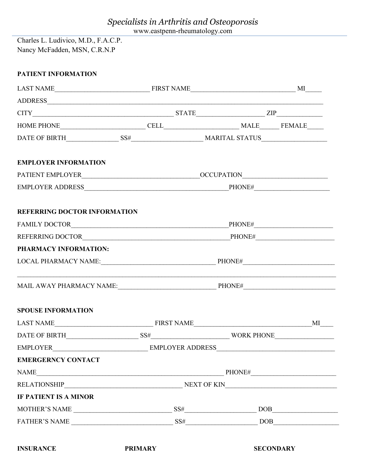www.eastpenn-rheumatology.com

Charles L. Ludivico, M.D., F.A.C.P. Nancy McFadden, MSN, C.R.N.P

| <b>PATIENT INFORMATION</b>                                                                                                                                                                                                                                                                                                                                                                                                                          |                |                  |                    |
|-----------------------------------------------------------------------------------------------------------------------------------------------------------------------------------------------------------------------------------------------------------------------------------------------------------------------------------------------------------------------------------------------------------------------------------------------------|----------------|------------------|--------------------|
|                                                                                                                                                                                                                                                                                                                                                                                                                                                     |                |                  |                    |
|                                                                                                                                                                                                                                                                                                                                                                                                                                                     |                |                  |                    |
| $CITY$ $ZIP$ $ZIP$                                                                                                                                                                                                                                                                                                                                                                                                                                  |                |                  |                    |
| $\begin{tabular}{c} HOME PHONE \end{tabular} \begin{tabular}{p{0.8cm}p{0.8cm}p{0.8cm}} \hline \multicolumn{3}{c}{\textbf{CELL}} \end{tabular} \begin{tabular}{p{0.8cm}p{0.8cm}} \hline \multicolumn{3}{c}{\textbf{NALE}} \end{tabular} \begin{tabular}{p{0.8cm}p{0.8cm}} \hline \multicolumn{3}{c}{\textbf{NALE}} \end{tabular} \begin{tabular}{p{0.8cm}p{0.8cm}} \hline \multicolumn{3}{c}{\textbf{NALE}} \end{tabular} \begin{tabular}{p{0.8cm}p$ |                |                  |                    |
|                                                                                                                                                                                                                                                                                                                                                                                                                                                     |                |                  |                    |
| <b>EMPLOYER INFORMATION</b>                                                                                                                                                                                                                                                                                                                                                                                                                         |                |                  |                    |
|                                                                                                                                                                                                                                                                                                                                                                                                                                                     |                |                  |                    |
|                                                                                                                                                                                                                                                                                                                                                                                                                                                     |                |                  |                    |
| <b>REFERRING DOCTOR INFORMATION</b>                                                                                                                                                                                                                                                                                                                                                                                                                 |                |                  |                    |
|                                                                                                                                                                                                                                                                                                                                                                                                                                                     |                |                  |                    |
|                                                                                                                                                                                                                                                                                                                                                                                                                                                     |                |                  |                    |
| PHARMACY INFORMATION:                                                                                                                                                                                                                                                                                                                                                                                                                               |                |                  |                    |
|                                                                                                                                                                                                                                                                                                                                                                                                                                                     |                |                  |                    |
| <u> 1989 - Johann John Stone, markin amerikan bestema dalam penyanyi dan bestema dalam pengaran bestema dalam pe</u>                                                                                                                                                                                                                                                                                                                                |                |                  |                    |
| <b>SPOUSE INFORMATION</b>                                                                                                                                                                                                                                                                                                                                                                                                                           |                |                  |                    |
| LAST NAME FIRST NAME FIRST NAME                                                                                                                                                                                                                                                                                                                                                                                                                     |                |                  | $MI$ <sub>--</sub> |
| DATE OF BIRTH                                                                                                                                                                                                                                                                                                                                                                                                                                       |                |                  |                    |
|                                                                                                                                                                                                                                                                                                                                                                                                                                                     |                |                  |                    |
| <b>EMERGERNCY CONTACT</b>                                                                                                                                                                                                                                                                                                                                                                                                                           |                |                  |                    |
| $\text{NAME}\_$                                                                                                                                                                                                                                                                                                                                                                                                                                     |                |                  |                    |
|                                                                                                                                                                                                                                                                                                                                                                                                                                                     |                |                  |                    |
| <b>IF PATIENT IS A MINOR</b>                                                                                                                                                                                                                                                                                                                                                                                                                        |                |                  |                    |
| MOTHER'S NAME $\_\_\_\_\_\_$ SS# $\_\_\_\_\_$ DOB $\_\_\_\_\_$                                                                                                                                                                                                                                                                                                                                                                                      |                |                  |                    |
|                                                                                                                                                                                                                                                                                                                                                                                                                                                     |                |                  |                    |
| <b>INSURANCE</b>                                                                                                                                                                                                                                                                                                                                                                                                                                    | <b>PRIMARY</b> | <b>SECONDARY</b> |                    |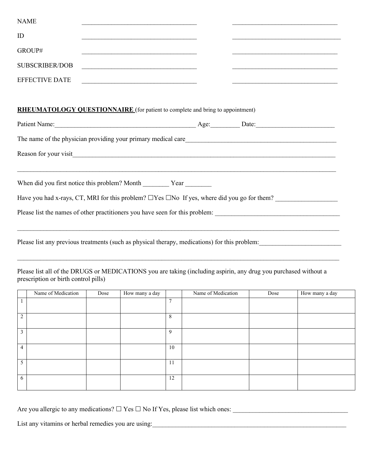| <b>NAME</b>                                                                                                                                             |  |
|---------------------------------------------------------------------------------------------------------------------------------------------------------|--|
| ID<br><u> 2000 - Jan James James Jan James James Jan James James Jan James James Jan James James Jan Jan James Jan Jan Ja</u>                           |  |
| GROUP#                                                                                                                                                  |  |
| <b>SUBSCRIBER/DOB</b>                                                                                                                                   |  |
| <b>EFFECTIVE DATE</b><br><u> 1989 - Johann Barn, amerikansk politiker (d. 1989)</u>                                                                     |  |
|                                                                                                                                                         |  |
| <b>RHEUMATOLOGY QUESTIONNAIRE</b> (for patient to complete and bring to appointment)                                                                    |  |
|                                                                                                                                                         |  |
|                                                                                                                                                         |  |
|                                                                                                                                                         |  |
| ,我们也不能在这里的人,我们也不能在这里的人,我们也不能在这里的人,我们也不能在这里的人,我们也不能在这里的人,我们也不能在这里的人,我们也不能在这里的人,我们也                                                                       |  |
| When did you first notice this problem? Month _________ Year _________                                                                                  |  |
| Have you had x-rays, CT, MRI for this problem? $\Box$ Yes $\Box$ No If yes, where did you go for them?                                                  |  |
|                                                                                                                                                         |  |
|                                                                                                                                                         |  |
| Please list any previous treatments (such as physical therapy, medications) for this problem:                                                           |  |
|                                                                                                                                                         |  |
| Please list all of the DRUGS or MEDICATIONS you are taking (including aspirin, any drug you purchased without a<br>prescription or birth control pills) |  |
|                                                                                                                                                         |  |

|                | Name of Medication | Dose | How many a day |                | Name of Medication | Dose | How many a day |
|----------------|--------------------|------|----------------|----------------|--------------------|------|----------------|
| $\perp$        |                    |      |                | $\overline{7}$ |                    |      |                |
| 2              |                    |      |                | 8              |                    |      |                |
| $\mathfrak{Z}$ |                    |      |                | 9              |                    |      |                |
| $\overline{4}$ |                    |      |                | 10             |                    |      |                |
| 5 <sup>5</sup> |                    |      |                | 11             |                    |      |                |
| 6              |                    |      |                | 12             |                    |      |                |

Are you allergic to any medications? Yes No If Yes, please list which ones: \_\_\_\_\_\_\_\_\_\_\_\_\_\_\_\_\_\_\_\_\_\_\_\_\_\_\_\_\_\_\_\_\_\_\_

List any vitamins or herbal remedies you are using: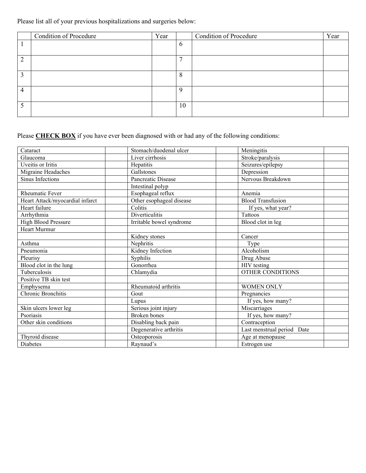Please list all of your previous hospitalizations and surgeries below:

|   | <b>Condition of Procedure</b> | Year |                | <b>Condition of Procedure</b> | Year |
|---|-------------------------------|------|----------------|-------------------------------|------|
|   |                               |      | 6              |                               |      |
| ↑ |                               |      | $\overline{ }$ |                               |      |
| ∍ |                               |      | 8              |                               |      |
| 4 |                               |      | $\Omega$       |                               |      |
|   |                               |      | 10             |                               |      |

Please **CHECK BOX** if you have ever been diagnosed with or had any of the following conditions:

| Cataract                        | Stomach/duodenal ulcer   | Meningitis                 |
|---------------------------------|--------------------------|----------------------------|
| Glaucoma                        | Liver cirrhosis          | Stroke/paralysis           |
| Uveitis or Iritis               | Hepatitis                | Seizures/epilepsy          |
| Migraine Headaches              | Gallstones               | Depression                 |
| Sinus Infections                | Pancreatic Disease       | Nervous Breakdown          |
|                                 | Intestinal polyp         |                            |
| <b>Rheumatic Fever</b>          | Esophageal reflux        | Anemia                     |
| Heart Attack/myocardial infarct | Other esophageal disease | <b>Blood Transfusion</b>   |
| Heart failure                   | Colitis                  | If yes, what year?         |
| Arrhythmia                      | Diverticulitis           | Tattoos                    |
| High Blood Pressure             | Irritable bowel syndrome | Blood clot in leg          |
| Heart Murmur                    |                          |                            |
|                                 | Kidney stones            | Cancer                     |
| Asthma                          | Nephritis                | Type                       |
| Pneumonia                       | Kidney Infection         | Alcoholism                 |
| Pleurisy                        | Syphilis                 | Drug Abuse                 |
| Blood clot in the lung          | Gonorrhea                | HIV testing                |
| Tuberculosis                    | Chlamydia                | OTHER CONDITIONS           |
| Positive TB skin test           |                          |                            |
| Emphysema                       | Rheumatoid arthritis     | <b>WOMEN ONLY</b>          |
| Chronic Bronchitis              | Gout                     | Pregnancies                |
|                                 | Lupus                    | If yes, how many?          |
| Skin ulcers lower leg           | Serious joint injury     | Miscarriages               |
| Psoriasis                       | Broken bones             | If yes, how many?          |
| Other skin conditions           | Disabling back pain      | Contraception              |
|                                 | Degenerative arthritis   | Last menstrual period Date |
| Thyroid disease                 | Osteoporosis             | Age at menopause           |
| Diabetes                        | Raynaud's                | Estrogen use               |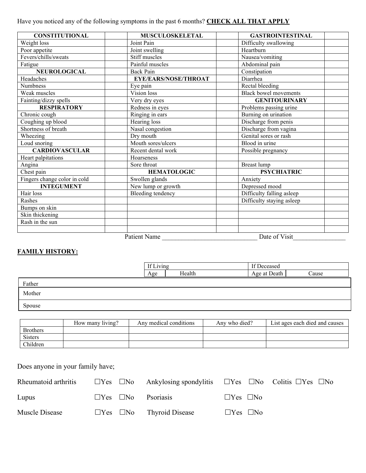Have you noticed any of the following symptoms in the past 6 months? **CHECK ALL THAT APPLY**

| <b>CONSTITUTIONAL</b>               | <b>MUSCULOSKELETAL</b>      | <b>GASTROINTESTINAL</b>      |
|-------------------------------------|-----------------------------|------------------------------|
| Weight loss                         | Joint Pain                  | Difficulty swallowing        |
| Poor appetite                       | Joint swelling              | Hearthurn                    |
| Fevers/chills/sweats                | Stiff muscles               | Nausea/vomiting              |
| Fatigue                             | Painful muscles             | Abdominal pain               |
| NEUROLOGICAL                        | <b>Back Pain</b>            | Constipation                 |
| Headaches                           | <b>EYE/EARS/NOSE/THROAT</b> | Diarrhea                     |
| Numbness                            | Eye pain                    | Rectal bleeding              |
| Weak muscles                        | Vision loss                 | <b>Black bowel movements</b> |
| Fainting/dizzy spells               | Very dry eyes               | <b>GENITOURINARY</b>         |
| <b>RESPIRATORY</b>                  | Redness in eyes             | Problems passing urine       |
| Chronic cough                       | Ringing in ears             | Burning on urination         |
| Coughing up blood                   | Hearing loss                | Discharge from penis         |
| Shortness of breath                 | Nasal congestion            | Discharge from vagina        |
| Wheezing                            | Dry mouth                   | Genital sores or rash        |
| Loud snoring                        | Mouth sores/ulcers          | Blood in urine               |
| <b>CARDIOVASCULAR</b>               | Recent dental work          | Possible pregnancy           |
| Heart palpitations                  | Hoarseness                  |                              |
| Angina                              | Sore throat                 | Breast lump                  |
| Chest pain                          | <b>HEMATOLOGIC</b>          | <b>PSYCHIATRIC</b>           |
| Fingers change color in cold        | Swollen glands              | Anxiety                      |
| <b>INTEGUMENT</b>                   | New lump or growth          | Depressed mood               |
| Hair loss                           | Bleeding tendency           | Difficulty falling asleep    |
| Rashes                              |                             | Difficulty staying asleep    |
| Bumps on skin                       |                             |                              |
| Skin thickening                     |                             |                              |
| $\overline{\text{Rash}}$ in the sun |                             |                              |
|                                     |                             |                              |
|                                     | <b>Patient Name</b>         | Date of Visit                |

#### **FAMILY HISTORY:**

|        | If Living |        | If Deceased  |       |
|--------|-----------|--------|--------------|-------|
|        | Age       | Health | Age at Death | Cause |
| Father |           |        |              |       |
| Mother |           |        |              |       |
| Spouse |           |        |              |       |

|                 | How many living? | Any medical conditions | Any who died? | List ages each died and causes |
|-----------------|------------------|------------------------|---------------|--------------------------------|
| <b>Brothers</b> |                  |                        |               |                                |
| <b>Sisters</b>  |                  |                        |               |                                |
| Children        |                  |                        |               |                                |

### Does anyone in your family have;

| Rheumatoid arthritis |  | $\square$ Yes $\square$ No Ankylosing spondylitis $\square$ Yes $\square$ No Colitis $\square$ Yes $\square$ No |                      |  |  |
|----------------------|--|-----------------------------------------------------------------------------------------------------------------|----------------------|--|--|
| Lupus                |  | $\Box$ Yes $\Box$ No Psoriasis                                                                                  | $\Box$ Yes $\Box$ No |  |  |
| Muscle Disease       |  | $\Box$ Yes $\Box$ No Thyroid Disease                                                                            | $\Box$ Yes $\Box$ No |  |  |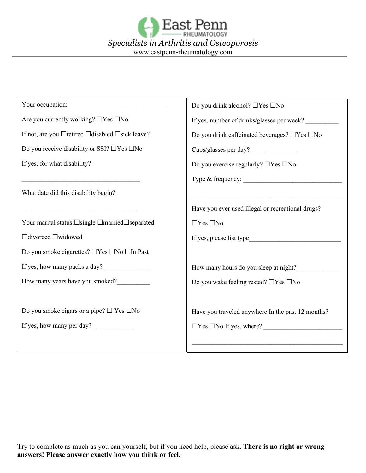

| Your occupation:<br><u> 2001 - Jan Barnett, mars al international de la propincia de la propincia de la propincia de la propincia de</u> | Do you drink alcohol? $\Box$ Yes $\Box$ No                      |  |  |  |
|------------------------------------------------------------------------------------------------------------------------------------------|-----------------------------------------------------------------|--|--|--|
| Are you currently working? $\Box$ Yes $\Box$ No                                                                                          | If yes, number of drinks/glasses per week?                      |  |  |  |
| If not, are you $\Box$ retired $\Box$ disabled $\Box$ sick leave?                                                                        | Do you drink caffeinated beverages? □Yes □No                    |  |  |  |
| Do you receive disability or SSI? $\Box$ Yes $\Box$ No                                                                                   | Cups/glasses per day?                                           |  |  |  |
| If yes, for what disability?                                                                                                             | Do you exercise regularly? $\Box \mathrm{Yes}~\Box \mathrm{No}$ |  |  |  |
|                                                                                                                                          |                                                                 |  |  |  |
| What date did this disability begin?                                                                                                     |                                                                 |  |  |  |
|                                                                                                                                          | Have you ever used illegal or recreational drugs?               |  |  |  |
| Your marital status:□single □married□separated                                                                                           | $\Box$ Yes $\Box$ No                                            |  |  |  |
| □divorced □widowed                                                                                                                       | If yes, please list type                                        |  |  |  |
| Do you smoke cigarettes? □Yes □No □In Past                                                                                               |                                                                 |  |  |  |
| If yes, how many packs a day?                                                                                                            | How many hours do you sleep at night?                           |  |  |  |
| How many years have you smoked?                                                                                                          | Do you wake feeling rested? □Yes □No                            |  |  |  |
|                                                                                                                                          |                                                                 |  |  |  |
| Do you smoke cigars or a pipe? $\Box$ Yes $\Box$ No                                                                                      | Have you traveled anywhere In the past 12 months?               |  |  |  |
| If yes, how many per day?                                                                                                                | $\Box$ Yes $\Box$ No If yes, where?                             |  |  |  |
|                                                                                                                                          |                                                                 |  |  |  |
|                                                                                                                                          |                                                                 |  |  |  |

Try to complete as much as you can yourself, but if you need help, please ask. **There is no right or wrong answers! Please answer exactly how you think or feel.**